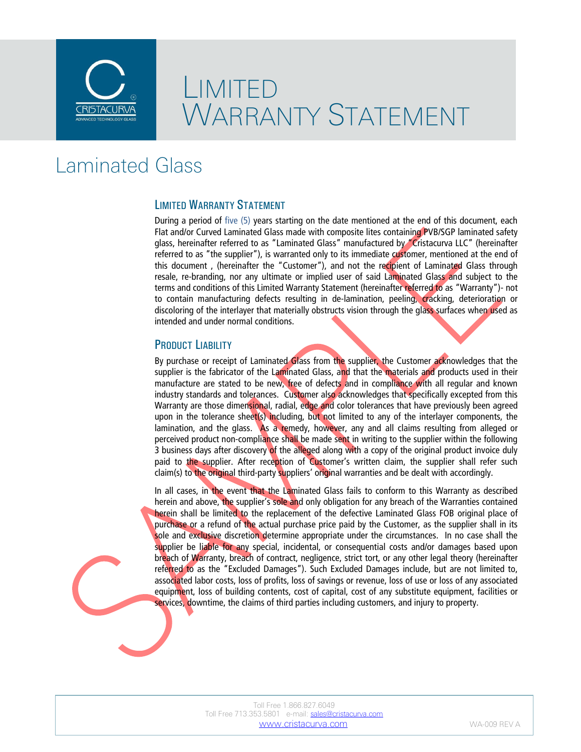

# LIMITED WARRANTY STATEMENT

## Laminated Glass

#### LIMITED WARRANTY STATEMENT

During a period of five (5) years starting on the date mentioned at the end of this document, each Flat and/or Curved Laminated Glass made with composite lites containing PVB/SGP laminated safety glass, hereinafter referred to as "Laminated Glass" manufactured by "Cristacurva LLC" (hereinafter referred to as "the supplier"), is warranted only to its immediate customer, mentioned at the end of this document , (hereinafter the "Customer"), and not the recipient of Laminated Glass through resale, re-branding, nor any ultimate or implied user of said Laminated Glass and subject to the terms and conditions of this Limited Warranty Statement (hereinafter referred to as "Warranty")- not to contain manufacturing defects resulting in de-lamination, peeling, cracking, deterioration or discoloring of the interlayer that materially obstructs vision through the glass surfaces when used as intended and under normal conditions.

#### PRODUCT LIABILITY

By purchase or receipt of Laminated Glass from the supplier, the Customer acknowledges that the supplier is the fabricator of the Laminated Glass, and that the materials and products used in their manufacture are stated to be new, free of defects and in compliance with all regular and known industry standards and tolerances. Customer also acknowledges that specifically excepted from this Warranty are those dimensional, radial, edge and color tolerances that have previously been agreed upon in the tolerance sheet(s) including, but not limited to any of the interlayer components, the lamination, and the glass. As a remedy, however, any and all claims resulting from alleged or perceived product non-compliance shall be made sent in writing to the supplier within the following 3 business days after discovery of the alleged along with a copy of the original product invoice duly paid to the supplier. After reception of Customer's written claim, the supplier shall refer such claim(s) to the original third-party suppliers' original warranties and be dealt with accordingly.

In all cases, in the event that the Laminated Glass fails to conform to this Warranty as described herein and above, the supplier's sole and only obligation for any breach of the Warranties contained herein shall be limited to the replacement of the defective Laminated Glass FOB original place of purchase or a refund of the actual purchase price paid by the Customer, as the supplier shall in its sole and exclusive discretion determine appropriate under the circumstances. In no case shall the supplier be liable for any special, incidental, or consequential costs and/or damages based upon breach of Warranty, breach of contract, negligence, strict tort, or any other legal theory (hereinafter referred to as the "Excluded Damages"). Such Excluded Damages include, but are not limited to, associated labor costs, loss of profits, loss of savings or revenue, loss of use or loss of any associated equipment, loss of building contents, cost of capital, cost of any substitute equipment, facilities or services, downtime, the claims of third parties including customers, and injury to property.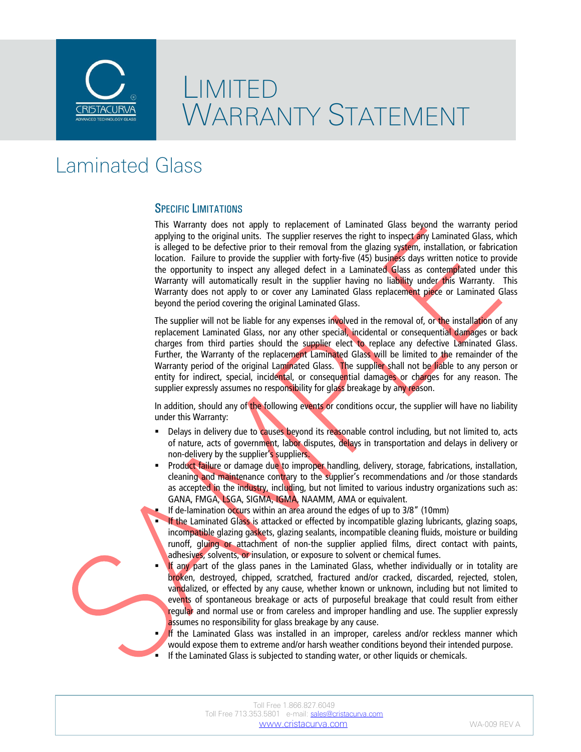

# LIMITED WARRANTY STATEMENT

## Laminated Glass

#### SPECIFIC LIMITATIONS

This Warranty does not apply to replacement of Laminated Glass beyond the warranty period applying to the original units. The supplier reserves the right to inspect any Laminated Glass, which is alleged to be defective prior to their removal from the glazing system, installation, or fabrication location. Failure to provide the supplier with forty-five (45) business days written notice to provide the opportunity to inspect any alleged defect in a Laminated Glass as contemplated under this Warranty will automatically result in the supplier having no liability under this Warranty. This Warranty does not apply to or cover any Laminated Glass replacement piece or Laminated Glass beyond the period covering the original Laminated Glass.

The supplier will not be liable for any expenses involved in the removal of, or the installation of any replacement Laminated Glass, nor any other special, incidental or consequential damages or back charges from third parties should the supplier elect to replace any defective Laminated Glass. Further, the Warranty of the replacement Laminated Glass will be limited to the remainder of the Warranty period of the original Laminated Glass. The supplier shall not be liable to any person or entity for indirect, special, incidental, or consequential damages or charges for any reason. The supplier expressly assumes no responsibility for glass breakage by any reason.

In addition, should any of the following events or conditions occur, the supplier will have no liability under this Warranty:

- Delays in delivery due to causes beyond its reasonable control including, but not limited to, acts of nature, acts of government, labor disputes, delays in transportation and delays in delivery or non-delivery by the supplier's suppliers.
- Product failure or damage due to improper handling, delivery, storage, fabrications, installation, cleaning and maintenance contrary to the supplier's recommendations and /or those standards as accepted in the industry, including, but not limited to various industry organizations such as: GANA, FMGA, LSGA, SIGMA, IGMA, NAAMM, AMA or equivalent.
- If de-lamination occurs within an area around the edges of up to 3/8" (10mm)
- If the Laminated Glass is attacked or effected by incompatible glazing lubricants, glazing soaps, incompatible glazing gaskets, glazing sealants, incompatible cleaning fluids, moisture or building runoff, gluing or attachment of non-the supplier applied films, direct contact with paints, adhesives, solvents, or insulation, or exposure to solvent or chemical fumes.
- If any part of the glass panes in the Laminated Glass, whether individually or in totality are broken, destroyed, chipped, scratched, fractured and/or cracked, discarded, rejected, stolen, vandalized, or effected by any cause, whether known or unknown, including but not limited to events of spontaneous breakage or acts of purposeful breakage that could result from either regular and normal use or from careless and improper handling and use. The supplier expressly assumes no responsibility for glass breakage by any cause.

If the Laminated Glass was installed in an improper, careless and/or reckless manner which would expose them to extreme and/or harsh weather conditions beyond their intended purpose. If the Laminated Glass is subjected to standing water, or other liquids or chemicals.

|                     | Toll Free 1,866,827,6049                             |
|---------------------|------------------------------------------------------|
|                     | Toll Free 713.353.5801 e-mail: sales@cristacurva.com |
| www.cristacurva.com |                                                      |